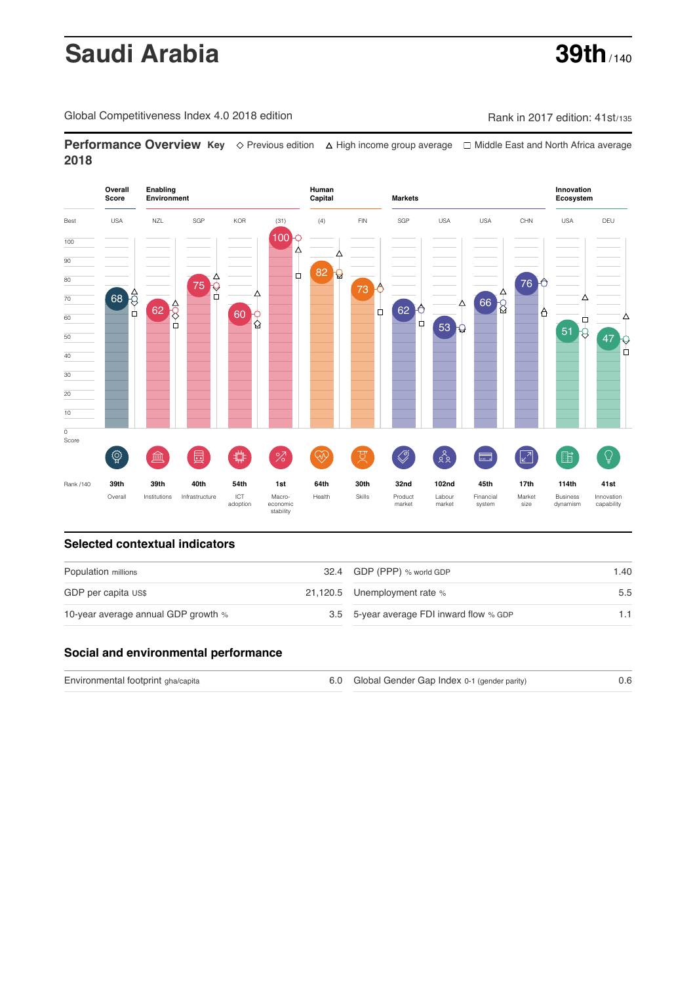# **Saudi Arabia 39th** / 140

Global Competitiveness Index 4.0 2018 edition Company Company Rank in 2017 edition: 41st/135

**Performance Overview Key** Previous edition High income group average Middle East and North Africa average **2018**



#### **Selected contextual indicators**

| Population millions                 | 32.4 GDP (PPP) % world GDP               | 1.40 |  |
|-------------------------------------|------------------------------------------|------|--|
| GDP per capita US\$                 | 21,120.5 Unemployment rate %             | 5.5  |  |
| 10-year average annual GDP growth % | 3.5 5-year average FDI inward flow % GDP | 1.1  |  |

#### **Social and environmental performance**

| Environmental footprint gha/capita | 6.0 Global Gender Gap Index 0-1 (gender parity) |  |
|------------------------------------|-------------------------------------------------|--|
|                                    |                                                 |  |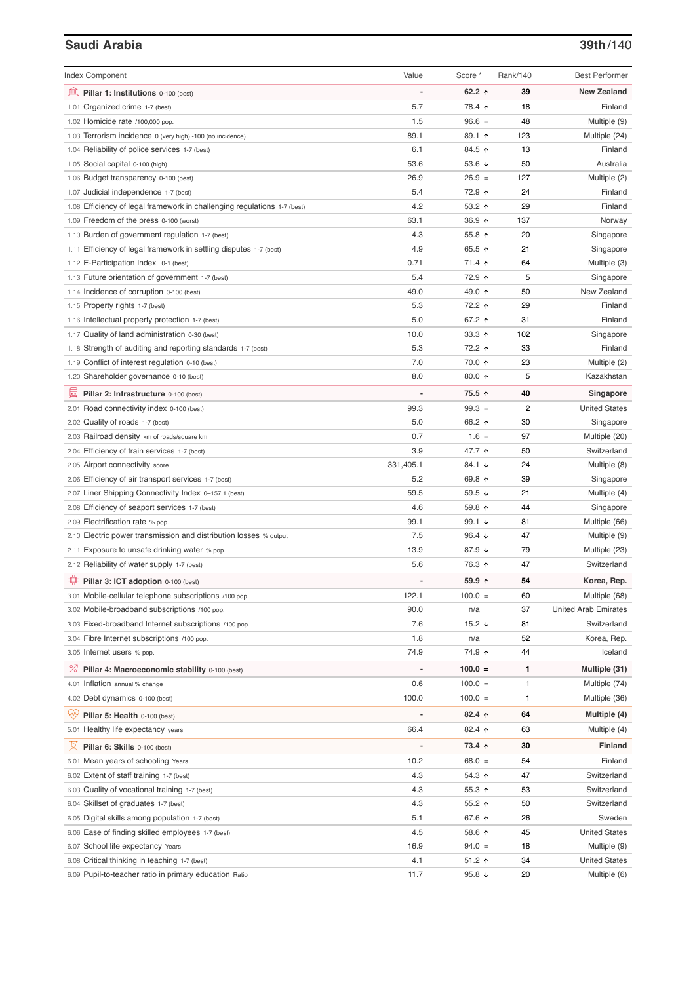## **Saudi Arabia 39th**/140

| <b>Index Component</b>                                                   | Value          | Score *         | Rank/140 | <b>Best Performer</b>       |
|--------------------------------------------------------------------------|----------------|-----------------|----------|-----------------------------|
| 無<br>Pillar 1: Institutions 0-100 (best)                                 |                | 62.2 $\uparrow$ | 39       | <b>New Zealand</b>          |
| 1.01 Organized crime 1-7 (best)                                          | 5.7            | 78.4 ተ          | 18       | Finland                     |
| 1.02 Homicide rate /100,000 pop.                                         | 1.5            | $96.6 =$        | 48       | Multiple (9)                |
| 1.03 Terrorism incidence 0 (very high) -100 (no incidence)               | 89.1           | 89.1 ↑          | 123      | Multiple (24)               |
| 1.04 Reliability of police services 1-7 (best)                           | 6.1            | 84.5 ↑          | 13       | Finland                     |
| 1.05 Social capital 0-100 (high)                                         | 53.6           | 53.6 $\sqrt{ }$ | 50       | Australia                   |
| 1.06 Budget transparency 0-100 (best)                                    | 26.9           | $26.9 =$        | 127      | Multiple (2)                |
| 1.07 Judicial independence 1-7 (best)                                    | 5.4            | 72.9 ↑          | 24       | Finland                     |
| 1.08 Efficiency of legal framework in challenging regulations 1-7 (best) | 4.2            | 53.2 ↑          | 29       | Finland                     |
| 1.09 Freedom of the press 0-100 (worst)                                  | 63.1           | $36.9$ ↑        | 137      | Norway                      |
| 1.10 Burden of government regulation 1-7 (best)                          | 4.3            | 55.8 个          | 20       | Singapore                   |
| 1.11 Efficiency of legal framework in settling disputes 1-7 (best)       | 4.9            | 65.5 ↑          | 21       | Singapore                   |
| 1.12 E-Participation Index 0-1 (best)                                    | 0.71           | 71.4 ↑          | 64       | Multiple (3)                |
| 1.13 Future orientation of government 1-7 (best)                         | 5.4            | 72.9 ↑          | 5        | Singapore                   |
| 1.14 Incidence of corruption 0-100 (best)                                | 49.0           | 49.0 ↑          | 50       | New Zealand                 |
| 1.15 Property rights 1-7 (best)                                          | 5.3            | 72.2 ተ          | 29       | Finland                     |
| 1.16 Intellectual property protection 1-7 (best)                         | 5.0            | 67.2 ↑          | 31       | Finland                     |
| 1.17 Quality of land administration 0-30 (best)                          | 10.0           | 33.3 $\uparrow$ | 102      | Singapore                   |
| 1.18 Strength of auditing and reporting standards 1-7 (best)             | 5.3            | 72.2 ↑          | 33       | Finland                     |
| 1.19 Conflict of interest regulation 0-10 (best)                         | 7.0            | 70.0 ↑          | 23       | Multiple (2)                |
| 1.20 Shareholder governance 0-10 (best)                                  | 8.0            | 80.0 $\uparrow$ | 5        | Kazakhstan                  |
|                                                                          |                |                 |          |                             |
| 曼<br>Pillar 2: Infrastructure 0-100 (best)                               |                | 75.5 ↑          | 40       | Singapore                   |
| 2.01 Road connectivity index 0-100 (best)                                | 99.3           | $99.3 =$        | 2        | <b>United States</b>        |
| 2.02 Quality of roads 1-7 (best)                                         | 5.0            | 66.2 ↑          | 30       | Singapore                   |
| 2.03 Railroad density km of roads/square km                              | 0.7            | $1.6 =$         | 97       | Multiple (20)               |
| 2.04 Efficiency of train services 1-7 (best)                             | 3.9            | 47.7 ተ          | 50       | Switzerland                 |
| 2.05 Airport connectivity score                                          | 331,405.1      | 84.1 ↓          | 24       | Multiple (8)                |
| 2.06 Efficiency of air transport services 1-7 (best)                     | 5.2            | 69.8 ↑          | 39       | Singapore                   |
| 2.07 Liner Shipping Connectivity Index 0-157.1 (best)                    | 59.5           | 59.5 $\sqrt{ }$ | 21       | Multiple (4)                |
| 2.08 Efficiency of seaport services 1-7 (best)                           | 4.6            | 59.8 个          | 44       | Singapore                   |
| 2.09 Electrification rate % pop.                                         | 99.1           | 99.1 $\sqrt{ }$ | 81       | Multiple (66)               |
| 2.10 Electric power transmission and distribution losses % output        | 7.5            | 96.4 $\sqrt{ }$ | 47       | Multiple (9)                |
| 2.11 Exposure to unsafe drinking water % pop.                            | 13.9           | 87.9 ↓          | 79       | Multiple (23)               |
| 2.12 Reliability of water supply 1-7 (best)                              | 5.6            | 76.3 ↑          | 47       | Switzerland                 |
| ₩<br>Pillar 3: ICT adoption 0-100 (best)                                 |                | 59.9 个          | 54       | Korea, Rep.                 |
| 3.01 Mobile-cellular telephone subscriptions /100 pop.                   | 122.1          | $100.0 =$       | 60       | Multiple (68)               |
| 3.02 Mobile-broadband subscriptions /100 pop.                            | 90.0           | n/a             | 37       | <b>United Arab Emirates</b> |
| 3.03 Fixed-broadband Internet subscriptions /100 pop.                    | 7.6            | 15.2 $\sqrt{ }$ | 81       | Switzerland                 |
| 3.04 Fibre Internet subscriptions /100 pop.                              | 1.8            | n/a             | 52       | Korea, Rep.                 |
| 3.05 Internet users % pop.                                               | 74.9           | 74.9 ↑          | 44       | Iceland                     |
| <sup>%</sup> Pillar 4: Macroeconomic stability 0-100 (best)              | $\overline{a}$ | $100.0 =$       | 1        | Multiple (31)               |
| 4.01 Inflation annual % change                                           | 0.6            | $100.0 =$       | 1        | Multiple (74)               |
| 4.02 Debt dynamics 0-100 (best)                                          | 100.0          | $100.0 =$       | 1        | Multiple (36)               |
| Qv                                                                       |                | 82.4 个          | 64       |                             |
| Pillar 5: Health 0-100 (best)                                            |                |                 |          | Multiple (4)                |
| 5.01 Healthy life expectancy years                                       | 66.4           | 82.4 $\uparrow$ | 63       | Multiple (4)                |
| 섯<br>Pillar 6: Skills 0-100 (best)                                       |                | 73.4 ↑          | 30       | <b>Finland</b>              |
| 6.01 Mean years of schooling Years                                       | 10.2           | $68.0 =$        | 54       | Finland                     |
| 6.02 Extent of staff training 1-7 (best)                                 | 4.3            | 54.3 ↑          | 47       | Switzerland                 |
| 6.03 Quality of vocational training 1-7 (best)                           | 4.3            | 55.3 $\uparrow$ | 53       | Switzerland                 |
| 6.04 Skillset of graduates 1-7 (best)                                    | 4.3            | 55.2 个          | 50       | Switzerland                 |
| 6.05 Digital skills among population 1-7 (best)                          | 5.1            | 67.6 ↑          | 26       | Sweden                      |
| 6.06 Ease of finding skilled employees 1-7 (best)                        | 4.5            | 58.6 个          | 45       | <b>United States</b>        |
| 6.07 School life expectancy Years                                        | 16.9           | $94.0 =$        | 18       | Multiple (9)                |
| 6.08 Critical thinking in teaching 1-7 (best)                            | 4.1            | 51.2 ↑          | 34       | <b>United States</b>        |
| 6.09 Pupil-to-teacher ratio in primary education Ratio                   | 11.7           | 95.8 $\sqrt{ }$ | 20       | Multiple (6)                |